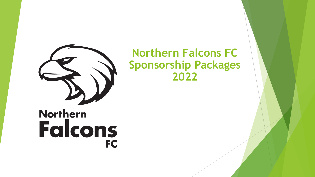

## **Northern Falcons FC Sponsorship Packages 2022**

# **Northern Falcons** FC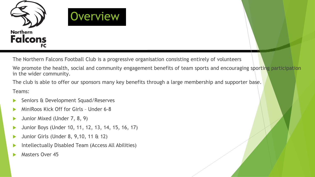

The Northern Falcons Football Club is a progressive organisation consisting entirely of volunteers

We promote the health, social and community engagement benefits of team sports and encouraging sporting participation in the wider community.

The club is able to offer our sponsors many key benefits through a large membership and supporter base.

Teams:

- Seniors & Development Squad/Reserves
- MiniRoos Kick Off for Girls Under 6-8
- Junior Mixed (Under 7, 8, 9)
- Junior Boys (Under 10, 11, 12, 13, 14, 15, 16, 17)
- Junior Girls (Under 8, 9,10, 11 & 12)
- Intellectually Disabled Team (Access All Abilities)
- Masters Over 45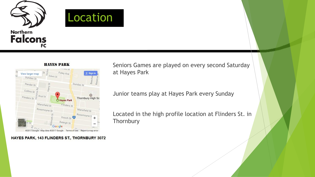



HAYES PARK, 143 FLINDERS ST., THORNBURY 3072

Seniors Games are played on every second Saturday at Hayes Park

Junior teams play at Hayes Park every Sunday

Located in the high profile location at Flinders St. in **Thornbury**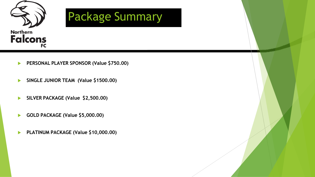

- **PERSONAL PLAYER SPONSOR (Value \$750.00)**
- **SINGLE JUNIOR TEAM (Value \$1500.00)**
- **SILVER PACKAGE (Value \$2,500.00)**
- **GOLD PACKAGE (Value \$5,000.00)**
- **PLATINUM PACKAGE (Value \$10,000.00)**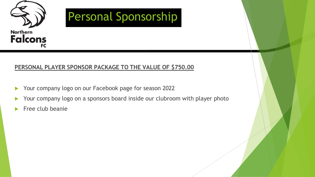

#### **PERSONAL PLAYER SPONSOR PACKAGE TO THE VALUE OF \$750.00**

- Your company logo on our Facebook page for season 2022
- Your company logo on a sponsors board inside our clubroom with player photo
- Free club beanie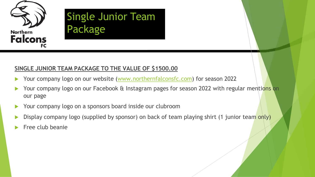

### Single Junior Team Single Junior Team Package

#### **SINGLE JUNIOR TEAM PACKAGE TO THE VALUE OF \$1500.00**

- Your company logo on our website (www.northernfalconsfc.com) for season 2022
- Your company logo on our Facebook & Instagram pages for season 2022 with regular mentions on our page
- Your company logo on a sponsors board inside our clubroom
- Display company logo (supplied by sponsor) on back of team playing shirt (1 junior team only)
- Free club beanie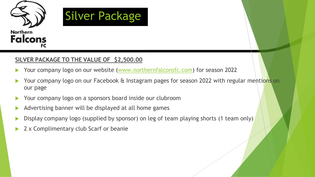

#### **SILVER PACKAGE TO THE VALUE OF \$2,500.00**

- Your company logo on our website (www.northernfalconsfc.com) for season 2022
- Your company logo on our Facebook & Instagram pages for season 2022 with regular mentions on our page
- Your company logo on a sponsors board inside our clubroom
- Advertising banner will be displayed at all home games
- Display company logo (supplied by sponsor) on leg of team playing shorts (1 team only)
- 2 x Complimentary club Scarf or beanie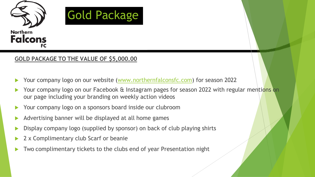

#### **GOLD PACKAGE TO THE VALUE OF \$5,000.00**

- ▶ Your company logo on our website (www.northernfalconsfc.com) for season 2022
- Your company logo on our Facebook & Instagram pages for season 2022 with regular mentions on our page including your branding on weekly action videos
- Your company logo on a sponsors board inside our clubroom
- Advertising banner will be displayed at all home games
- Display company logo (supplied by sponsor) on back of club playing shirts
- 2 x Complimentary club Scarf or beanie
- Two complimentary tickets to the clubs end of year Presentation night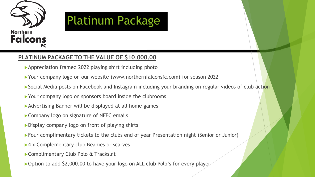



#### **PLATINUM PACKAGE TO THE VALUE OF \$10,000.00**

- Appreciation framed 2022 playing shirt including photo
- ▶ Your company logo on our website (www.northernfalconsfc.com) for season 2022
- Social Media posts on Facebook and Instagram including your branding on regular videos of club action
- Your company logo on sponsors board inside the clubrooms
- Advertising Banner will be displayed at all home games
- ▶ Company logo on signature of NFFC emails
- Display company logo on front of playing shirts
- Four complimentary tickets to the clubs end of year Presentation night (Senior or Junior)
- ▶ 4 x Complementary club Beanies or scarves
- ▶ Complimentary Club Polo & Tracksuit
- ▶ Option to add \$2,000.00 to have your logo on ALL club Polo's for every player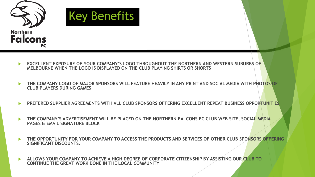

- **EXCELLENT EXPOSURE OF YOUR COMPANY'S LOGO THROUGHOUT THE NORTHERN AND WESTERN SUBURBS OF MELBOURNE WHEN THE LOGO IS DISPLAYED ON THE CLUB PLAYING SHIRTS OR SHORTS**
- **THE COMPANY LOGO OF MAJOR SPONSORS WILL FEATURE HEAVILY IN ANY PRINT AND SOCIAL MEDIA WITH PHOTOS OF CLUB PLAYERS DURING GAMES**
- **PREFERED SUPPLIER AGREEMENTS WITH ALL CLUB SPONSORS OFFERING EXCELLENT REPEAT BUSINESS OPPORTUNITIES**
- **THE COMPANY'S ADVERTISEMENT WILL BE PLACED ON THE NORTHERN FALCONS FC CLUB WEB SITE, SOCIAL MEDIA PAGES & EMAIL SIGNATURE BLOCK**
- **THE OPPORTUNITY FOR YOUR COMPANY TO ACCESS THE PRODUCTS AND SERVICES OF OTHER CLUB SPONSORS OFFERING SIGNIFICANT DISCOUNTS.**
- **ALLOWS YOUR COMPANY TO ACHIEVE A HIGH DEGREE OF CORPORATE CITIZENSHIP BY ASSISTING OUR CLUB TO CONTINUE THE GREAT WORK DONE IN THE LOCAL COMMUNITY**